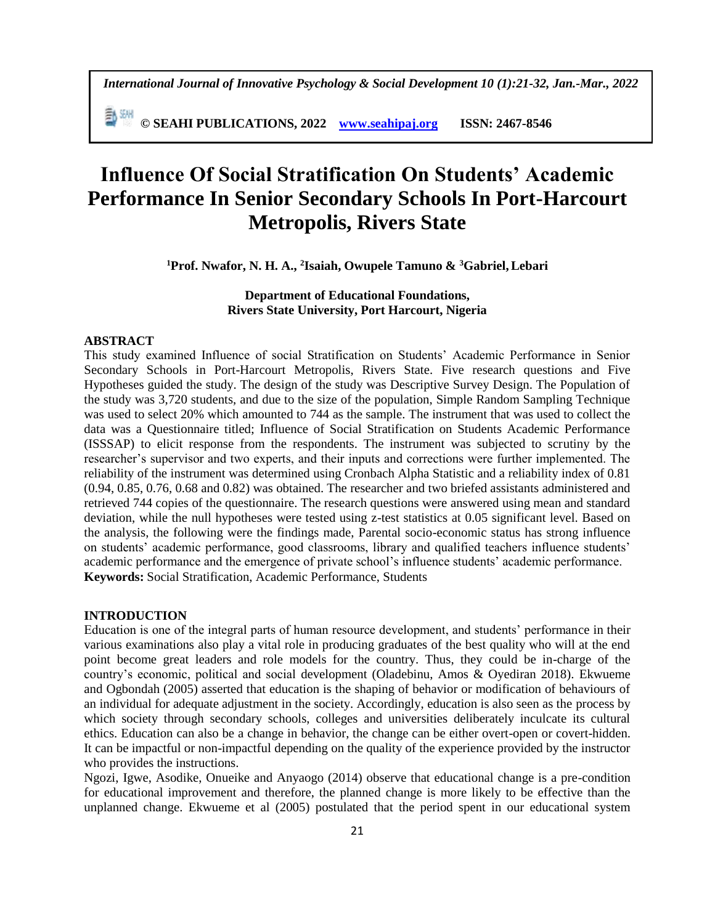*International Journal of Innovative Psychology & Social Development 10 (1):21-32, Jan.-Mar., 2022*

**© SEAHI PUBLICATIONS, 2022 [www.seahipaj.org](http://www.seahipaj.org/) ISSN: 2467-8546**

# **Influence Of Social Stratification On Students' Academic Performance In Senior Secondary Schools In Port-Harcourt Metropolis, Rivers State**

**<sup>1</sup>Prof. Nwafor, N. H. A., <sup>2</sup> Isaiah, Owupele Tamuno & <sup>3</sup>Gabriel,Lebari**

**Department of Educational Foundations, Rivers State University, Port Harcourt, Nigeria**

## **ABSTRACT**

This study examined Influence of social Stratification on Students' Academic Performance in Senior Secondary Schools in Port-Harcourt Metropolis, Rivers State. Five research questions and Five Hypotheses guided the study. The design of the study was Descriptive Survey Design. The Population of the study was 3,720 students, and due to the size of the population, Simple Random Sampling Technique was used to select 20% which amounted to 744 as the sample. The instrument that was used to collect the data was a Questionnaire titled; Influence of Social Stratification on Students Academic Performance (ISSSAP) to elicit response from the respondents. The instrument was subjected to scrutiny by the researcher's supervisor and two experts, and their inputs and corrections were further implemented. The reliability of the instrument was determined using Cronbach Alpha Statistic and a reliability index of 0.81 (0.94, 0.85, 0.76, 0.68 and 0.82) was obtained. The researcher and two briefed assistants administered and retrieved 744 copies of the questionnaire. The research questions were answered using mean and standard deviation, while the null hypotheses were tested using z-test statistics at 0.05 significant level. Based on the analysis, the following were the findings made, Parental socio-economic status has strong influence on students' academic performance, good classrooms, library and qualified teachers influence students' academic performance and the emergence of private school's influence students' academic performance. **Keywords:** Social Stratification, Academic Performance, Students

#### **INTRODUCTION**

Education is one of the integral parts of human resource development, and students' performance in their various examinations also play a vital role in producing graduates of the best quality who will at the end point become great leaders and role models for the country. Thus, they could be in-charge of the country's economic, political and social development (Oladebinu, Amos & Oyediran 2018). Ekwueme and Ogbondah (2005) asserted that education is the shaping of behavior or modification of behaviours of an individual for adequate adjustment in the society. Accordingly, education is also seen as the process by which society through secondary schools, colleges and universities deliberately inculcate its cultural ethics. Education can also be a change in behavior, the change can be either overt-open or covert-hidden. It can be impactful or non-impactful depending on the quality of the experience provided by the instructor who provides the instructions.

Ngozi, Igwe, Asodike, Onueike and Anyaogo (2014) observe that educational change is a pre-condition for educational improvement and therefore, the planned change is more likely to be effective than the unplanned change. Ekwueme et al (2005) postulated that the period spent in our educational system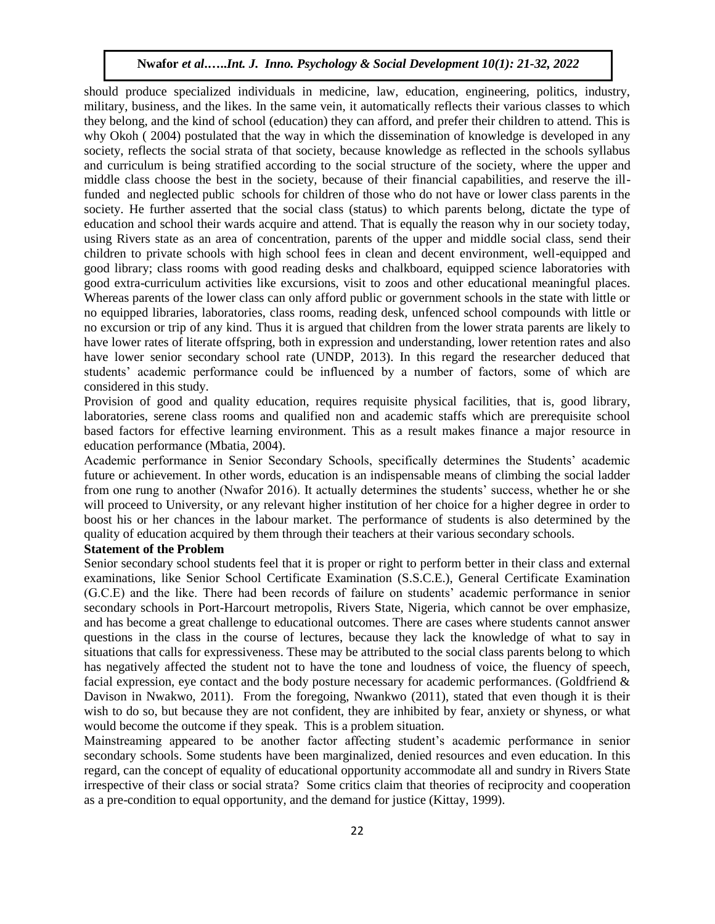should produce specialized individuals in medicine, law, education, engineering, politics, industry, military, business, and the likes. In the same vein, it automatically reflects their various classes to which they belong, and the kind of school (education) they can afford, and prefer their children to attend. This is why Okoh (2004) postulated that the way in which the dissemination of knowledge is developed in any society, reflects the social strata of that society, because knowledge as reflected in the schools syllabus and curriculum is being stratified according to the social structure of the society, where the upper and middle class choose the best in the society, because of their financial capabilities, and reserve the illfunded and neglected public schools for children of those who do not have or lower class parents in the society. He further asserted that the social class (status) to which parents belong, dictate the type of education and school their wards acquire and attend. That is equally the reason why in our society today, using Rivers state as an area of concentration, parents of the upper and middle social class, send their children to private schools with high school fees in clean and decent environment, well-equipped and good library; class rooms with good reading desks and chalkboard, equipped science laboratories with good extra-curriculum activities like excursions, visit to zoos and other educational meaningful places. Whereas parents of the lower class can only afford public or government schools in the state with little or no equipped libraries, laboratories, class rooms, reading desk, unfenced school compounds with little or no excursion or trip of any kind. Thus it is argued that children from the lower strata parents are likely to have lower rates of literate offspring, both in expression and understanding, lower retention rates and also have lower senior secondary school rate (UNDP, 2013). In this regard the researcher deduced that students' academic performance could be influenced by a number of factors, some of which are considered in this study.

Provision of good and quality education, requires requisite physical facilities, that is, good library, laboratories, serene class rooms and qualified non and academic staffs which are prerequisite school based factors for effective learning environment. This as a result makes finance a major resource in education performance (Mbatia, 2004).

Academic performance in Senior Secondary Schools, specifically determines the Students' academic future or achievement. In other words, education is an indispensable means of climbing the social ladder from one rung to another (Nwafor 2016). It actually determines the students' success, whether he or she will proceed to University, or any relevant higher institution of her choice for a higher degree in order to boost his or her chances in the labour market. The performance of students is also determined by the quality of education acquired by them through their teachers at their various secondary schools.

#### **Statement of the Problem**

Senior secondary school students feel that it is proper or right to perform better in their class and external examinations, like Senior School Certificate Examination (S.S.C.E.), General Certificate Examination (G.C.E) and the like. There had been records of failure on students' academic performance in senior secondary schools in Port-Harcourt metropolis, Rivers State, Nigeria, which cannot be over emphasize, and has become a great challenge to educational outcomes. There are cases where students cannot answer questions in the class in the course of lectures, because they lack the knowledge of what to say in situations that calls for expressiveness. These may be attributed to the social class parents belong to which has negatively affected the student not to have the tone and loudness of voice, the fluency of speech, facial expression, eye contact and the body posture necessary for academic performances. (Goldfriend & Davison in Nwakwo, 2011). From the foregoing, Nwankwo (2011), stated that even though it is their wish to do so, but because they are not confident, they are inhibited by fear, anxiety or shyness, or what would become the outcome if they speak. This is a problem situation.

Mainstreaming appeared to be another factor affecting student's academic performance in senior secondary schools. Some students have been marginalized, denied resources and even education. In this regard, can the concept of equality of educational opportunity accommodate all and sundry in Rivers State irrespective of their class or social strata? Some critics claim that theories of reciprocity and cooperation as a pre-condition to equal opportunity, and the demand for justice (Kittay, 1999).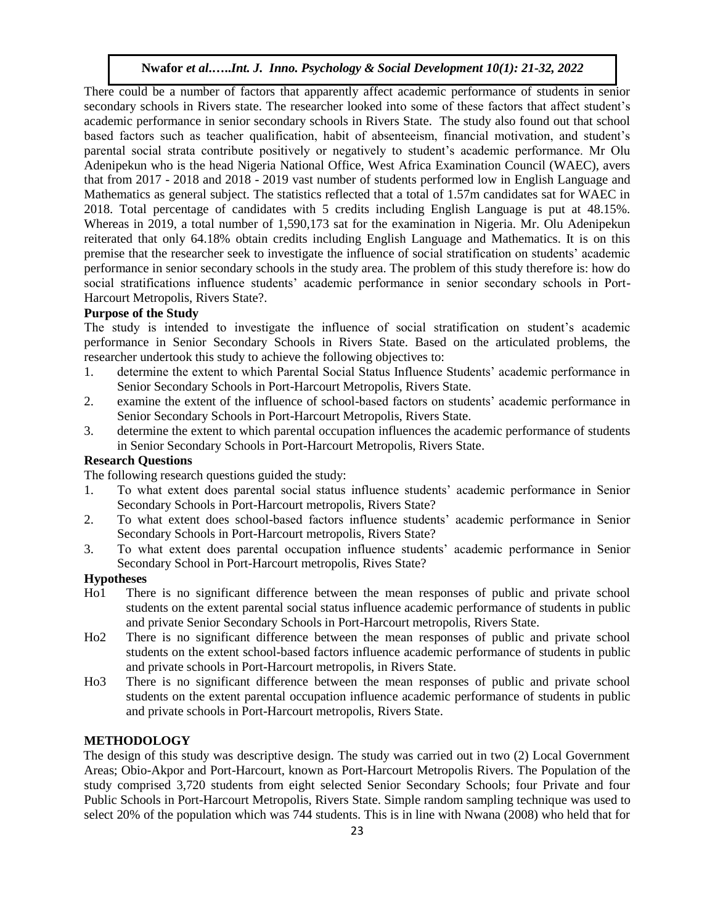There could be a number of factors that apparently affect academic performance of students in senior secondary schools in Rivers state. The researcher looked into some of these factors that affect student's academic performance in senior secondary schools in Rivers State. The study also found out that school based factors such as teacher qualification, habit of absenteeism, financial motivation, and student's parental social strata contribute positively or negatively to student's academic performance. Mr Olu Adenipekun who is the head Nigeria National Office, West Africa Examination Council (WAEC), avers that from 2017 - 2018 and 2018 - 2019 vast number of students performed low in English Language and Mathematics as general subject. The statistics reflected that a total of 1.57m candidates sat for WAEC in 2018. Total percentage of candidates with 5 credits including English Language is put at 48.15%. Whereas in 2019, a total number of 1,590,173 sat for the examination in Nigeria. Mr. Olu Adenipekun reiterated that only 64.18% obtain credits including English Language and Mathematics. It is on this premise that the researcher seek to investigate the influence of social stratification on students' academic performance in senior secondary schools in the study area. The problem of this study therefore is: how do social stratifications influence students' academic performance in senior secondary schools in Port-Harcourt Metropolis, Rivers State?.

#### **Purpose of the Study**

The study is intended to investigate the influence of social stratification on student's academic performance in Senior Secondary Schools in Rivers State. Based on the articulated problems, the researcher undertook this study to achieve the following objectives to:

- 1. determine the extent to which Parental Social Status Influence Students' academic performance in Senior Secondary Schools in Port-Harcourt Metropolis, Rivers State.
- 2. examine the extent of the influence of school-based factors on students' academic performance in Senior Secondary Schools in Port-Harcourt Metropolis, Rivers State.
- 3. determine the extent to which parental occupation influences the academic performance of students in Senior Secondary Schools in Port-Harcourt Metropolis, Rivers State.

#### **Research Questions**

The following research questions guided the study:

- 1. To what extent does parental social status influence students' academic performance in Senior Secondary Schools in Port-Harcourt metropolis, Rivers State?
- 2. To what extent does school-based factors influence students' academic performance in Senior Secondary Schools in Port-Harcourt metropolis, Rivers State?
- 3. To what extent does parental occupation influence students' academic performance in Senior Secondary School in Port-Harcourt metropolis, Rives State?

#### **Hypotheses**

- Ho1 There is no significant difference between the mean responses of public and private school students on the extent parental social status influence academic performance of students in public and private Senior Secondary Schools in Port-Harcourt metropolis, Rivers State.
- Ho2 There is no significant difference between the mean responses of public and private school students on the extent school-based factors influence academic performance of students in public and private schools in Port-Harcourt metropolis, in Rivers State.
- Ho3 There is no significant difference between the mean responses of public and private school students on the extent parental occupation influence academic performance of students in public and private schools in Port-Harcourt metropolis, Rivers State.

#### **METHODOLOGY**

The design of this study was descriptive design. The study was carried out in two (2) Local Government Areas; Obio-Akpor and Port-Harcourt, known as Port-Harcourt Metropolis Rivers. The Population of the study comprised 3,720 students from eight selected Senior Secondary Schools; four Private and four Public Schools in Port-Harcourt Metropolis, Rivers State. Simple random sampling technique was used to select 20% of the population which was 744 students. This is in line with Nwana (2008) who held that for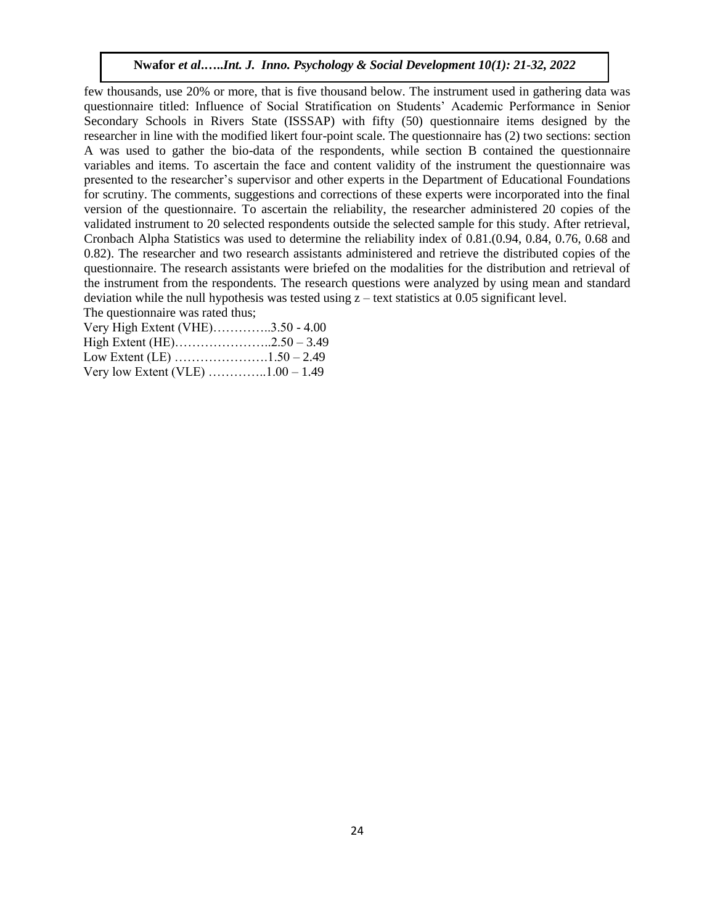few thousands, use 20% or more, that is five thousand below. The instrument used in gathering data was questionnaire titled: Influence of Social Stratification on Students' Academic Performance in Senior Secondary Schools in Rivers State (ISSSAP) with fifty (50) questionnaire items designed by the researcher in line with the modified likert four-point scale. The questionnaire has (2) two sections: section A was used to gather the bio-data of the respondents, while section B contained the questionnaire variables and items. To ascertain the face and content validity of the instrument the questionnaire was presented to the researcher's supervisor and other experts in the Department of Educational Foundations for scrutiny. The comments, suggestions and corrections of these experts were incorporated into the final version of the questionnaire. To ascertain the reliability, the researcher administered 20 copies of the validated instrument to 20 selected respondents outside the selected sample for this study. After retrieval, Cronbach Alpha Statistics was used to determine the reliability index of 0.81.(0.94, 0.84, 0.76, 0.68 and 0.82). The researcher and two research assistants administered and retrieve the distributed copies of the questionnaire. The research assistants were briefed on the modalities for the distribution and retrieval of the instrument from the respondents. The research questions were analyzed by using mean and standard deviation while the null hypothesis was tested using  $z - \text{text statistics at } 0.05$  significant level. The questionnaire was rated thus;

| Very High Extent (VHE)3.50 - 4.00                           |  |
|-------------------------------------------------------------|--|
|                                                             |  |
|                                                             |  |
| Very low Extent (VLE) $\dots \dots \dots \dots 1.00 - 1.49$ |  |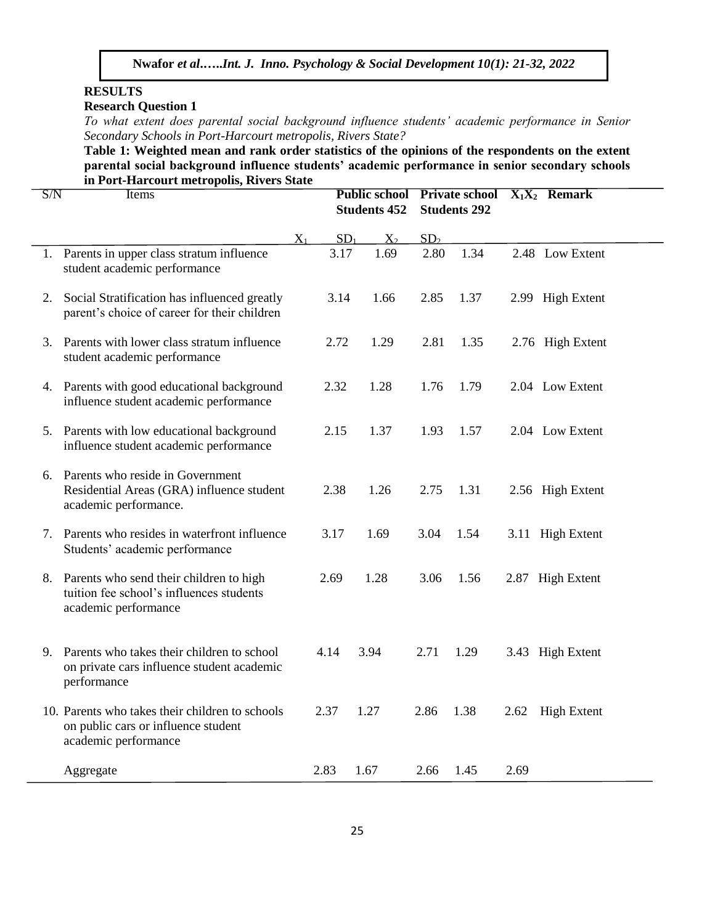## **RESULTS**

## **Research Question 1**

*To what extent does parental social background influence students' academic performance in Senior Secondary Schools in Port-Harcourt metropolis, Rivers State?*

**Table 1: Weighted mean and rank order statistics of the opinions of the respondents on the extent parental social background influence students' academic performance in senior secondary schools in Port-Harcourt metropolis, Rivers State**

| S/N | Items                                                                                                          |                | <b>Public school</b><br><b>Students 452</b> |       |                 | <b>Private school</b><br><b>Students 292</b> |      | $X_1X_2$ Remark    |
|-----|----------------------------------------------------------------------------------------------------------------|----------------|---------------------------------------------|-------|-----------------|----------------------------------------------|------|--------------------|
|     |                                                                                                                | $\mathrm{X}_1$ | SD <sub>1</sub>                             | $X_2$ | SD <sub>2</sub> |                                              |      |                    |
|     | 1. Parents in upper class stratum influence<br>student academic performance                                    |                | 3.17                                        | 1.69  | 2.80            | 1.34                                         |      | 2.48 Low Extent    |
| 2.  | Social Stratification has influenced greatly<br>parent's choice of career for their children                   |                | 3.14                                        | 1.66  | 2.85            | 1.37                                         |      | 2.99 High Extent   |
| 3.  | Parents with lower class stratum influence<br>student academic performance                                     |                | 2.72                                        | 1.29  | 2.81            | 1.35                                         |      | 2.76 High Extent   |
|     | 4. Parents with good educational background<br>influence student academic performance                          |                | 2.32                                        | 1.28  | 1.76            | 1.79                                         |      | 2.04 Low Extent    |
|     | 5. Parents with low educational background<br>influence student academic performance                           |                | 2.15                                        | 1.37  | 1.93            | 1.57                                         |      | 2.04 Low Extent    |
|     | 6. Parents who reside in Government<br>Residential Areas (GRA) influence student<br>academic performance.      |                | 2.38                                        | 1.26  | 2.75            | 1.31                                         |      | 2.56 High Extent   |
| 7.  | Parents who resides in waterfront influence<br>Students' academic performance                                  |                | 3.17                                        | 1.69  | 3.04            | 1.54                                         |      | 3.11 High Extent   |
| 8.  | Parents who send their children to high<br>tuition fee school's influences students<br>academic performance    |                | 2.69                                        | 1.28  | 3.06            | 1.56                                         |      | 2.87 High Extent   |
| 9.  | Parents who takes their children to school<br>on private cars influence student academic<br>performance        |                | 4.14                                        | 3.94  | 2.71            | 1.29                                         |      | 3.43 High Extent   |
|     | 10. Parents who takes their children to schools<br>on public cars or influence student<br>academic performance |                | 2.37                                        | 1.27  | 2.86            | 1.38                                         | 2.62 | <b>High Extent</b> |
|     | Aggregate                                                                                                      |                | 2.83                                        | 1.67  | 2.66            | 1.45                                         | 2.69 |                    |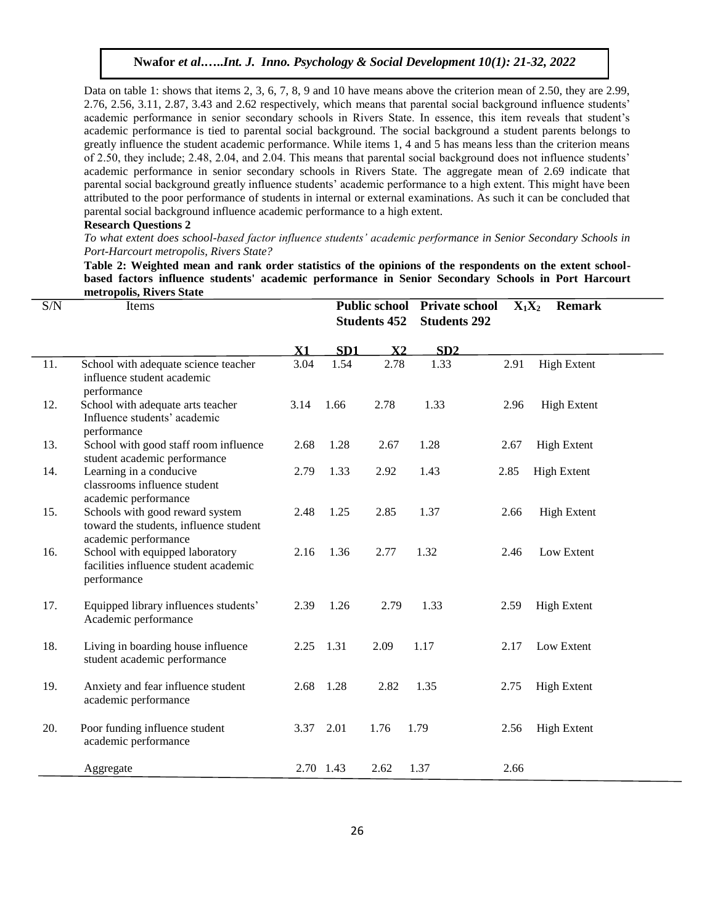Data on table 1: shows that items 2, 3, 6, 7, 8, 9 and 10 have means above the criterion mean of 2.50, they are 2.99, 2.76, 2.56, 3.11, 2.87, 3.43 and 2.62 respectively, which means that parental social background influence students' academic performance in senior secondary schools in Rivers State. In essence, this item reveals that student's academic performance is tied to parental social background. The social background a student parents belongs to greatly influence the student academic performance. While items 1, 4 and 5 has means less than the criterion means of 2.50, they include; 2.48, 2.04, and 2.04. This means that parental social background does not influence students' academic performance in senior secondary schools in Rivers State. The aggregate mean of 2.69 indicate that parental social background greatly influence students' academic performance to a high extent. This might have been attributed to the poor performance of students in internal or external examinations. As such it can be concluded that parental social background influence academic performance to a high extent.

#### **Research Questions 2**

*To what extent does school-based factor influence students' academic performance in Senior Secondary Schools in Port-Harcourt metropolis, Rivers State?*

**Table 2: Weighted mean and rank order statistics of the opinions of the respondents on the extent schoolbased factors influence students' academic performance in Senior Secondary Schools in Port Harcourt metropolis, Rivers State**

| S/N | Items                                                                                             |      | <b>Public school</b> |                | Private school      |      | $X_1X_2$<br><b>Remark</b> |  |  |
|-----|---------------------------------------------------------------------------------------------------|------|----------------------|----------------|---------------------|------|---------------------------|--|--|
|     |                                                                                                   |      | <b>Students 452</b>  |                | <b>Students 292</b> |      |                           |  |  |
|     |                                                                                                   | X1   | SD <sub>1</sub>      | $\mathbf{X}$ 2 | SD2                 |      |                           |  |  |
| 11. | School with adequate science teacher<br>influence student academic<br>performance                 | 3.04 | 1.54                 | 2.78           | 1.33                | 2.91 | <b>High Extent</b>        |  |  |
| 12. | School with adequate arts teacher<br>Influence students' academic<br>performance                  | 3.14 | 1.66                 | 2.78           | 1.33                | 2.96 | <b>High Extent</b>        |  |  |
| 13. | School with good staff room influence<br>student academic performance                             | 2.68 | 1.28                 | 2.67           | 1.28                | 2.67 | <b>High Extent</b>        |  |  |
| 14. | Learning in a conducive<br>classrooms influence student<br>academic performance                   | 2.79 | 1.33                 | 2.92           | 1.43                | 2.85 | <b>High Extent</b>        |  |  |
| 15. | Schools with good reward system<br>toward the students, influence student<br>academic performance | 2.48 | 1.25                 | 2.85           | 1.37                | 2.66 | <b>High Extent</b>        |  |  |
| 16. | School with equipped laboratory<br>facilities influence student academic<br>performance           | 2.16 | 1.36                 | 2.77           | 1.32                | 2.46 | Low Extent                |  |  |
| 17. | Equipped library influences students'<br>Academic performance                                     | 2.39 | 1.26                 | 2.79           | 1.33                | 2.59 | <b>High Extent</b>        |  |  |
| 18. | Living in boarding house influence<br>student academic performance                                | 2.25 | 1.31                 | 2.09           | 1.17                | 2.17 | Low Extent                |  |  |
| 19. | Anxiety and fear influence student<br>academic performance                                        | 2.68 | 1.28                 | 2.82           | 1.35                | 2.75 | <b>High Extent</b>        |  |  |
| 20. | Poor funding influence student<br>academic performance                                            | 3.37 | 2.01                 | 1.76           | 1.79                | 2.56 | <b>High Extent</b>        |  |  |
|     | Aggregate                                                                                         |      | 2.70 1.43            | 2.62           | 1.37                | 2.66 |                           |  |  |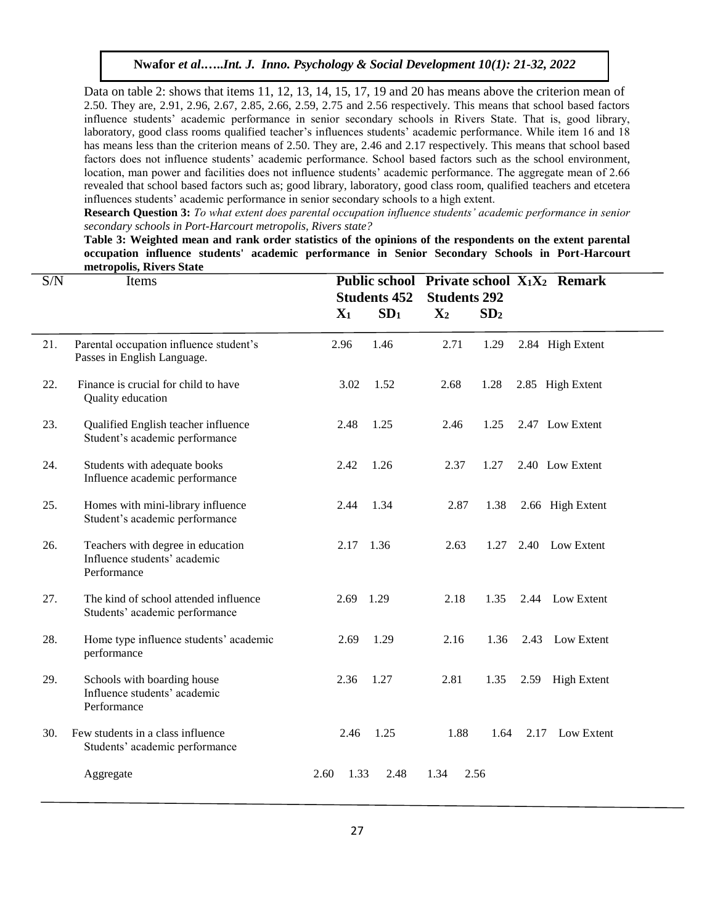Data on table 2: shows that items 11, 12, 13, 14, 15, 17, 19 and 20 has means above the criterion mean of 2.50. They are, 2.91, 2.96, 2.67, 2.85, 2.66, 2.59, 2.75 and 2.56 respectively. This means that school based factors influence students' academic performance in senior secondary schools in Rivers State. That is, good library, laboratory, good class rooms qualified teacher's influences students' academic performance. While item 16 and 18 has means less than the criterion means of 2.50. They are, 2.46 and 2.17 respectively. This means that school based factors does not influence students' academic performance. School based factors such as the school environment, location, man power and facilities does not influence students' academic performance. The aggregate mean of 2.66 revealed that school based factors such as; good library, laboratory, good class room, qualified teachers and etcetera influences students' academic performance in senior secondary schools to a high extent.

**Research Question 3:** *To what extent does parental occupation influence students' academic performance in senior secondary schools in Port-Harcourt metropolis, Rivers state?*

**Table 3: Weighted mean and rank order statistics of the opinions of the respondents on the extent parental occupation influence students' academic performance in Senior Secondary Schools in Port-Harcourt metropolis, Rivers State**

| S/N | Items                                                                            |                |                     |                |                     | Public school Private school X <sub>1</sub> X <sub>2</sub> Remark |                  |  |
|-----|----------------------------------------------------------------------------------|----------------|---------------------|----------------|---------------------|-------------------------------------------------------------------|------------------|--|
|     |                                                                                  |                | <b>Students 452</b> |                | <b>Students 292</b> |                                                                   |                  |  |
|     |                                                                                  | $\mathbf{X}_1$ | SD <sub>1</sub>     | $\mathbf{X}_2$ | SD <sub>2</sub>     |                                                                   |                  |  |
|     |                                                                                  |                |                     |                |                     |                                                                   |                  |  |
| 21. | Parental occupation influence student's<br>Passes in English Language.           | 2.96           | 1.46                | 2.71           | 1.29                |                                                                   | 2.84 High Extent |  |
| 22. | Finance is crucial for child to have<br>Quality education                        | 3.02           | 1.52                | 2.68           | 1.28                |                                                                   | 2.85 High Extent |  |
| 23. | Qualified English teacher influence<br>Student's academic performance            | 2.48           | 1.25                | 2.46           | 1.25                |                                                                   | 2.47 Low Extent  |  |
| 24. | Students with adequate books<br>Influence academic performance                   | 2.42           | 1.26                | 2.37           | 1.27                |                                                                   | 2.40 Low Extent  |  |
| 25. | Homes with mini-library influence<br>Student's academic performance              | 2.44           | 1.34                | 2.87           | 1.38                |                                                                   | 2.66 High Extent |  |
| 26. | Teachers with degree in education<br>Influence students' academic<br>Performance | 2.17 1.36      |                     | 2.63           | 1.27                |                                                                   | 2.40 Low Extent  |  |
| 27. | The kind of school attended influence<br>Students' academic performance          | 2.69 1.29      |                     | 2.18           | 1.35                |                                                                   | 2.44 Low Extent  |  |
| 28. | Home type influence students' academic<br>performance                            | 2.69           | 1.29                | 2.16           | 1.36                |                                                                   | 2.43 Low Extent  |  |
| 29. | Schools with boarding house<br>Influence students' academic<br>Performance       | 2.36           | 1.27                | 2.81           | 1.35                |                                                                   | 2.59 High Extent |  |
| 30. | Few students in a class influence<br>Students' academic performance              | 2.46           | 1.25                | 1.88           | 1.64                | 2.17                                                              | Low Extent       |  |
|     | Aggregate                                                                        | 2.60<br>1.33   | 2.48                | 1.34           | 2.56                |                                                                   |                  |  |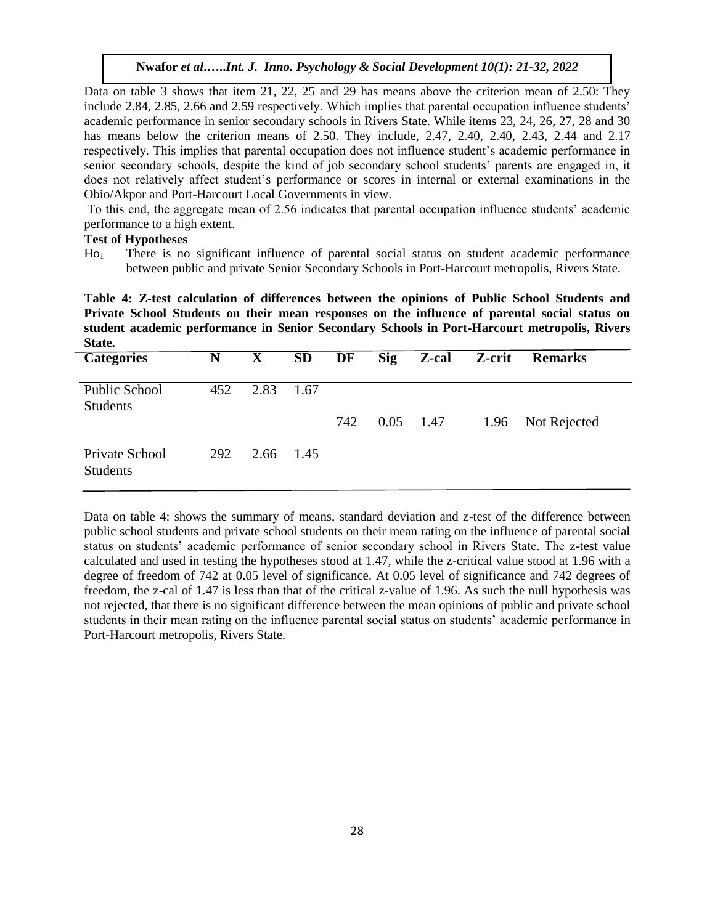Data on table 3 shows that item 21, 22, 25 and 29 has means above the criterion mean of 2.50: They include 2.84, 2.85, 2.66 and 2.59 respectively. Which implies that parental occupation influence students' academic performance in senior secondary schools in Rivers State. While items 23, 24, 26, 27, 28 and 30 has means below the criterion means of 2.50. They include, 2.47, 2.40, 2.40, 2.43, 2.44 and 2.17 respectively. This implies that parental occupation does not influence student's academic performance in senior secondary schools, despite the kind of job secondary school students' parents are engaged in, it does not relatively affect student's performance or scores in internal or external examinations in the Obio/Akpor and Port-Harcourt Local Governments in view.

To this end, the aggregate mean of 2.56 indicates that parental occupation influence students' academic performance to a high extent.

#### **Test of Hypotheses**

Ho<sup>1</sup> There is no significant influence of parental social status on student academic performance between public and private Senior Secondary Schools in Port-Harcourt metropolis, Rivers State.

**Table 4: Z-test calculation of differences between the opinions of Public School Students and Private School Students on their mean responses on the influence of parental social status on student academic performance in Senior Secondary Schools in Port-Harcourt metropolis, Rivers State.** 

| <b>Categories</b>                 | N   | $\mathbf{X}$ | <b>SD</b> | DF  | Sig         | Z-cal | Z-crit | <b>Remarks</b> |
|-----------------------------------|-----|--------------|-----------|-----|-------------|-------|--------|----------------|
| Public School<br><b>Students</b>  | 452 | 2.83         | -1.67     |     |             |       |        |                |
|                                   |     |              |           | 742 | $0.05$ 1.47 |       | 1.96   | Not Rejected   |
| Private School<br><b>Students</b> | 292 | 2.66         | 1.45      |     |             |       |        |                |

Data on table 4: shows the summary of means, standard deviation and z-test of the difference between public school students and private school students on their mean rating on the influence of parental social status on students' academic performance of senior secondary school in Rivers State. The z-test value calculated and used in testing the hypotheses stood at 1.47, while the z-critical value stood at 1.96 with a degree of freedom of 742 at 0.05 level of significance. At 0.05 level of significance and 742 degrees of freedom, the z-cal of 1.47 is less than that of the critical z-value of 1.96. As such the null hypothesis was not rejected, that there is no significant difference between the mean opinions of public and private school students in their mean rating on the influence parental social status on students' academic performance in Port-Harcourt metropolis, Rivers State.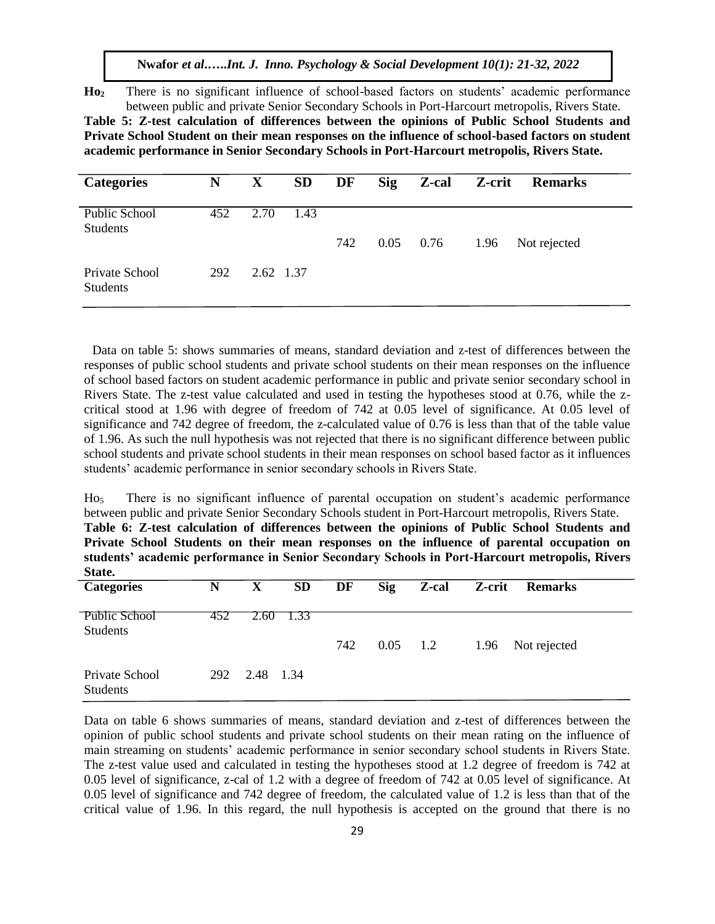**Ho<sup>2</sup>** There is no significant influence of school-based factors on students' academic performance between public and private Senior Secondary Schools in Port-Harcourt metropolis, Rivers State.

**Table 5: Z-test calculation of differences between the opinions of Public School Students and Private School Student on their mean responses on the influence of school-based factors on student academic performance in Senior Secondary Schools in Port-Harcourt metropolis, Rivers State.**

| <b>Categories</b>                 | N   | $\mathbf{X}$ | <b>SD</b> | DF  | <b>Sig</b> | Z-cal | Z-crit | <b>Remarks</b> |
|-----------------------------------|-----|--------------|-----------|-----|------------|-------|--------|----------------|
| Public School<br><b>Students</b>  | 452 | 2.70         | 1.43      | 742 | 0.05       | 0.76  | 1.96   | Not rejected   |
| Private School<br><b>Students</b> | 292 | 2.62 1.37    |           |     |            |       |        |                |

Data on table 5: shows summaries of means, standard deviation and z-test of differences between the responses of public school students and private school students on their mean responses on the influence of school based factors on student academic performance in public and private senior secondary school in Rivers State. The z-test value calculated and used in testing the hypotheses stood at 0.76, while the zcritical stood at 1.96 with degree of freedom of 742 at 0.05 level of significance. At 0.05 level of significance and 742 degree of freedom, the z-calculated value of 0.76 is less than that of the table value of 1.96. As such the null hypothesis was not rejected that there is no significant difference between public school students and private school students in their mean responses on school based factor as it influences students' academic performance in senior secondary schools in Rivers State.

Ho<sup>5</sup> There is no significant influence of parental occupation on student's academic performance between public and private Senior Secondary Schools student in Port-Harcourt metropolis, Rivers State. **Table 6: Z-test calculation of differences between the opinions of Public School Students and Private School Students on their mean responses on the influence of parental occupation on students' academic performance in Senior Secondary Schools in Port-Harcourt metropolis, Rivers State.**

| vian.                             |     |           |           |     |            |       |        |                |
|-----------------------------------|-----|-----------|-----------|-----|------------|-------|--------|----------------|
| Categories                        | N   | X         | <b>SD</b> | DF  | <b>Sig</b> | Z-cal | Z-crit | <b>Remarks</b> |
| Public School<br><b>Students</b>  | 452 | 2.60      | 1.33      |     |            |       |        |                |
|                                   |     |           |           | 742 | 0.05       | 1.2   | 1.96   | Not rejected   |
| Private School<br><b>Students</b> | 292 | 2.48 1.34 |           |     |            |       |        |                |

Data on table 6 shows summaries of means, standard deviation and z-test of differences between the opinion of public school students and private school students on their mean rating on the influence of main streaming on students' academic performance in senior secondary school students in Rivers State. The z-test value used and calculated in testing the hypotheses stood at 1.2 degree of freedom is 742 at 0.05 level of significance, z-cal of 1.2 with a degree of freedom of 742 at 0.05 level of significance. At 0.05 level of significance and 742 degree of freedom, the calculated value of 1.2 is less than that of the critical value of 1.96. In this regard, the null hypothesis is accepted on the ground that there is no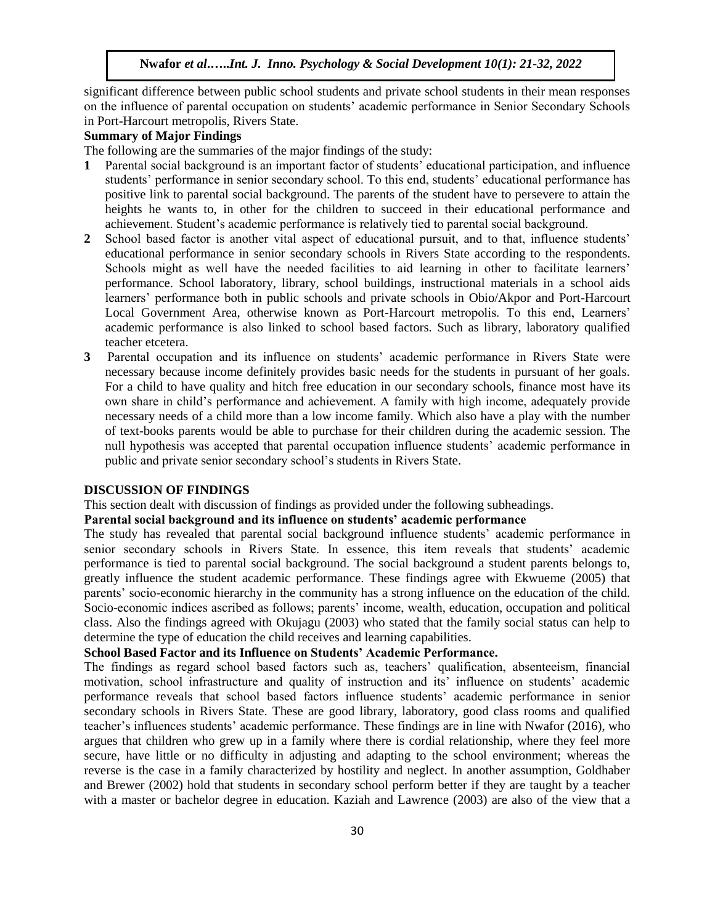significant difference between public school students and private school students in their mean responses on the influence of parental occupation on students' academic performance in Senior Secondary Schools in Port-Harcourt metropolis, Rivers State.

## **Summary of Major Findings**

The following are the summaries of the major findings of the study:

- **1** Parental social background is an important factor of students' educational participation, and influence students' performance in senior secondary school. To this end, students' educational performance has positive link to parental social background. The parents of the student have to persevere to attain the heights he wants to, in other for the children to succeed in their educational performance and achievement. Student's academic performance is relatively tied to parental social background.
- **2** School based factor is another vital aspect of educational pursuit, and to that, influence students' educational performance in senior secondary schools in Rivers State according to the respondents. Schools might as well have the needed facilities to aid learning in other to facilitate learners' performance. School laboratory, library, school buildings, instructional materials in a school aids learners' performance both in public schools and private schools in Obio/Akpor and Port-Harcourt Local Government Area, otherwise known as Port-Harcourt metropolis. To this end, Learners' academic performance is also linked to school based factors. Such as library, laboratory qualified teacher etcetera.
- **3** Parental occupation and its influence on students' academic performance in Rivers State were necessary because income definitely provides basic needs for the students in pursuant of her goals. For a child to have quality and hitch free education in our secondary schools, finance most have its own share in child's performance and achievement. A family with high income, adequately provide necessary needs of a child more than a low income family. Which also have a play with the number of text-books parents would be able to purchase for their children during the academic session. The null hypothesis was accepted that parental occupation influence students' academic performance in public and private senior secondary school's students in Rivers State.

#### **DISCUSSION OF FINDINGS**

This section dealt with discussion of findings as provided under the following subheadings.

## **Parental social background and its influence on students' academic performance**

The study has revealed that parental social background influence students' academic performance in senior secondary schools in Rivers State. In essence, this item reveals that students' academic performance is tied to parental social background. The social background a student parents belongs to, greatly influence the student academic performance. These findings agree with Ekwueme (2005) that parents' socio-economic hierarchy in the community has a strong influence on the education of the child. Socio-economic indices ascribed as follows; parents' income, wealth, education, occupation and political class. Also the findings agreed with Okujagu (2003) who stated that the family social status can help to determine the type of education the child receives and learning capabilities.

## **School Based Factor and its Influence on Students' Academic Performance.**

The findings as regard school based factors such as, teachers' qualification, absenteeism, financial motivation, school infrastructure and quality of instruction and its' influence on students' academic performance reveals that school based factors influence students' academic performance in senior secondary schools in Rivers State. These are good library, laboratory, good class rooms and qualified teacher's influences students' academic performance. These findings are in line with Nwafor (2016), who argues that children who grew up in a family where there is cordial relationship, where they feel more secure, have little or no difficulty in adjusting and adapting to the school environment; whereas the reverse is the case in a family characterized by hostility and neglect. In another assumption, Goldhaber and Brewer (2002) hold that students in secondary school perform better if they are taught by a teacher with a master or bachelor degree in education. Kaziah and Lawrence (2003) are also of the view that a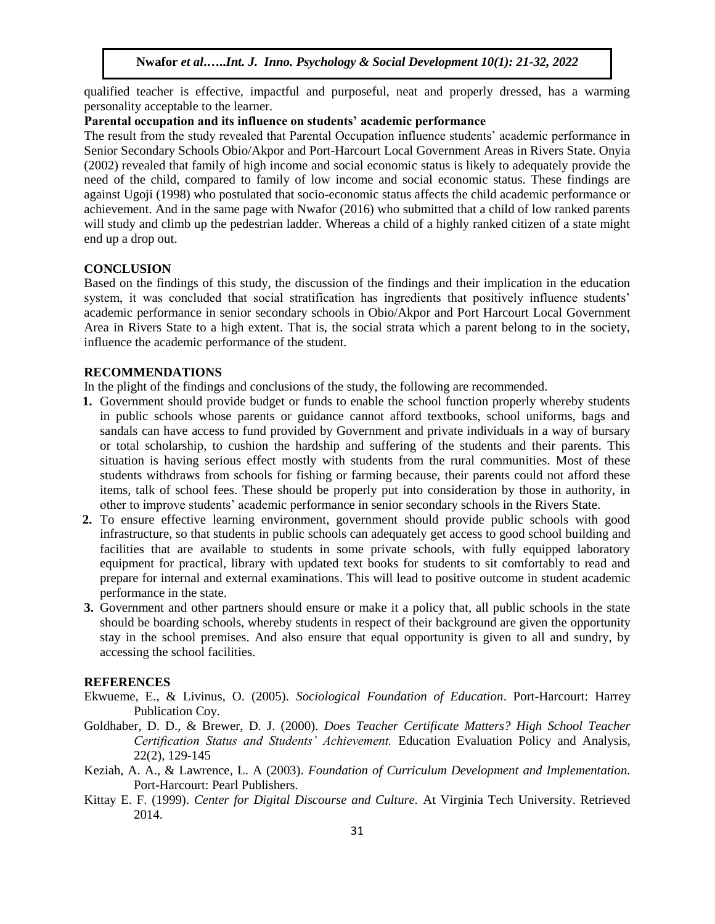qualified teacher is effective, impactful and purposeful, neat and properly dressed, has a warming personality acceptable to the learner.

## **Parental occupation and its influence on students' academic performance**

The result from the study revealed that Parental Occupation influence students' academic performance in Senior Secondary Schools Obio/Akpor and Port-Harcourt Local Government Areas in Rivers State. Onyia (2002) revealed that family of high income and social economic status is likely to adequately provide the need of the child, compared to family of low income and social economic status. These findings are against Ugoji (1998) who postulated that socio-economic status affects the child academic performance or achievement. And in the same page with Nwafor (2016) who submitted that a child of low ranked parents will study and climb up the pedestrian ladder. Whereas a child of a highly ranked citizen of a state might end up a drop out.

## **CONCLUSION**

Based on the findings of this study, the discussion of the findings and their implication in the education system, it was concluded that social stratification has ingredients that positively influence students' academic performance in senior secondary schools in Obio/Akpor and Port Harcourt Local Government Area in Rivers State to a high extent. That is, the social strata which a parent belong to in the society, influence the academic performance of the student.

#### **RECOMMENDATIONS**

In the plight of the findings and conclusions of the study, the following are recommended.

- **1.** Government should provide budget or funds to enable the school function properly whereby students in public schools whose parents or guidance cannot afford textbooks, school uniforms, bags and sandals can have access to fund provided by Government and private individuals in a way of bursary or total scholarship, to cushion the hardship and suffering of the students and their parents. This situation is having serious effect mostly with students from the rural communities. Most of these students withdraws from schools for fishing or farming because, their parents could not afford these items, talk of school fees. These should be properly put into consideration by those in authority, in other to improve students' academic performance in senior secondary schools in the Rivers State.
- **2.** To ensure effective learning environment, government should provide public schools with good infrastructure, so that students in public schools can adequately get access to good school building and facilities that are available to students in some private schools, with fully equipped laboratory equipment for practical, library with updated text books for students to sit comfortably to read and prepare for internal and external examinations. This will lead to positive outcome in student academic performance in the state.
- **3.** Government and other partners should ensure or make it a policy that, all public schools in the state should be boarding schools, whereby students in respect of their background are given the opportunity stay in the school premises. And also ensure that equal opportunity is given to all and sundry, by accessing the school facilities.

#### **REFERENCES**

- Ekwueme, E., & Livinus, O. (2005). *Sociological Foundation of Education*. Port-Harcourt: Harrey Publication Coy.
- Goldhaber, D. D., & Brewer, D. J. (2000). *Does Teacher Certificate Matters? High School Teacher Certification Status and Students' Achievement.* Education Evaluation Policy and Analysis, 22(2), 129-145
- Keziah, A. A., & Lawrence, L. A (2003). *Foundation of Curriculum Development and Implementation.*  Port-Harcourt: Pearl Publishers.
- Kittay E. F. (1999). *Center for Digital Discourse and Culture.* At Virginia Tech University. Retrieved 2014.